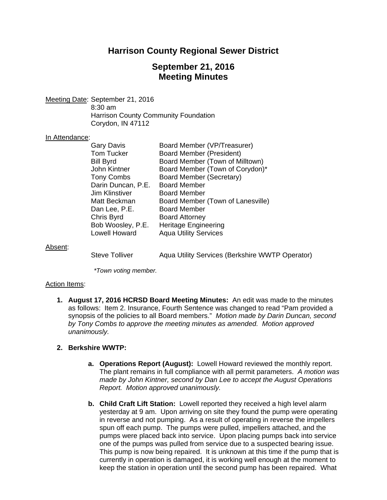## **Harrison County Regional Sewer District**

## **September 21, 2016 Meeting Minutes**

Meeting Date: September 21, 2016 8:30 am Harrison County Community Foundation Corydon, IN 47112

### In Attendance:

| <b>Gary Davis</b>     | Board Member (VP/Treasurer)       |
|-----------------------|-----------------------------------|
| <b>Tom Tucker</b>     | <b>Board Member (President)</b>   |
| <b>Bill Byrd</b>      | Board Member (Town of Milltown)   |
| John Kintner          | Board Member (Town of Corydon)*   |
| <b>Tony Combs</b>     | Board Member (Secretary)          |
| Darin Duncan, P.E.    | <b>Board Member</b>               |
| <b>Jim Klinstiver</b> | Board Member                      |
| Matt Beckman          | Board Member (Town of Lanesville) |
| Dan Lee, P.E.         | <b>Board Member</b>               |
| Chris Byrd            | <b>Board Attorney</b>             |
| Bob Woosley, P.E.     | <b>Heritage Engineering</b>       |
| <b>Lowell Howard</b>  | <b>Aqua Utility Services</b>      |
|                       |                                   |

Absent:

Steve Tolliver **Aqua Utility Services (Berkshire WWTP Operator)** 

*\*Town voting member.* 

### Action Items:

**1. August 17, 2016 HCRSD Board Meeting Minutes:** An edit was made to the minutes as follows: Item 2. Insurance, Fourth Sentence was changed to read "Pam provided a synopsis of the policies to all Board members." *Motion made by Darin Duncan, second by Tony Combs to approve the meeting minutes as amended. Motion approved unanimously.*

### **2. Berkshire WWTP:**

- **a. Operations Report (August):** Lowell Howard reviewed the monthly report. The plant remains in full compliance with all permit parameters. *A motion was made by John Kintner, second by Dan Lee to accept the August Operations Report. Motion approved unanimously.*
- **b. Child Craft Lift Station:** Lowell reported they received a high level alarm yesterday at 9 am. Upon arriving on site they found the pump were operating in reverse and not pumping. As a result of operating in reverse the impellers spun off each pump. The pumps were pulled, impellers attached, and the pumps were placed back into service. Upon placing pumps back into service one of the pumps was pulled from service due to a suspected bearing issue. This pump is now being repaired. It is unknown at this time if the pump that is currently in operation is damaged, it is working well enough at the moment to keep the station in operation until the second pump has been repaired. What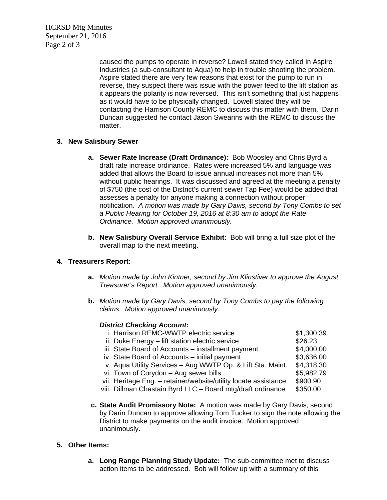HCRSD Mtg Minutes September 21, 2016 Page 2 of 3

> caused the pumps to operate in reverse? Lowell stated they called in Aspire Industries (a sub-consultant to Aqua) to help in trouble shooting the problem. Aspire stated there are very few reasons that exist for the pump to run in reverse, they suspect there was issue with the power feed to the lift station as it appears the polarity is now reversed. This isn't something that just happens as it would have to be physically changed. Lowell stated they will be contacting the Harrison County REMC to discuss this matter with them. Darin Duncan suggested he contact Jason Swearins with the REMC to discuss the matter.

## **3. New Salisbury Sewer**

- **a. Sewer Rate Increase (Draft Ordinance):** Bob Woosley and Chris Byrd a draft rate increase ordinance. Rates were increased 5% and language was added that allows the Board to issue annual increases not more than 5% without public hearings. It was discussed and agreed at the meeting a penalty of \$750 (the cost of the District's current sewer Tap Fee) would be added that assesses a penalty for anyone making a connection without proper notification. *A motion was made by Gary Davis, second by Tony Combs to set a Public Hearing for October 19, 2016 at 8:30 am to adopt the Rate Ordinance. Motion approved unanimously.*
- **b. New Salisbury Overall Service Exhibit:** Bob will bring a full size plot of the overall map to the next meeting.

## **4. Treasurers Report:**

- **a.** *Motion made by John Kintner, second by Jim Klinstiver to approve the August Treasurer's Report. Motion approved unanimously.*
- **b.** *Motion made by Gary Davis, second by Tony Combs to pay the following claims. Motion approved unanimously.*

### *District Checking Account:*

| i. Harrison REMC-WWTP electric service                          | \$1,300.39 |
|-----------------------------------------------------------------|------------|
| ii. Duke Energy – lift station electric service                 | \$26.23    |
| iii. State Board of Accounts - installment payment              | \$4,000.00 |
| iv. State Board of Accounts – initial payment                   | \$3,636.00 |
| v. Aqua Utility Services - Aug WWTP Op. & Lift Sta. Maint.      | \$4,318.30 |
| vi. Town of Corydon - Aug sewer bills                           | \$5,982.79 |
| vii. Heritage Eng. - retainer/website/utility locate assistance | \$900.90   |
| viii. Dillman Chastain Byrd LLC - Board mtg/draft ordinance     | \$350.00   |
|                                                                 |            |

**c. State Audit Promissory Note:** A motion was made by Gary Davis, second by Darin Duncan to approve allowing Tom Tucker to sign the note allowing the District to make payments on the audit invoice. Motion approved unanimously.

## **5. Other Items:**

**a. Long Range Planning Study Update:** The sub-committee met to discuss action items to be addressed. Bob will follow up with a summary of this